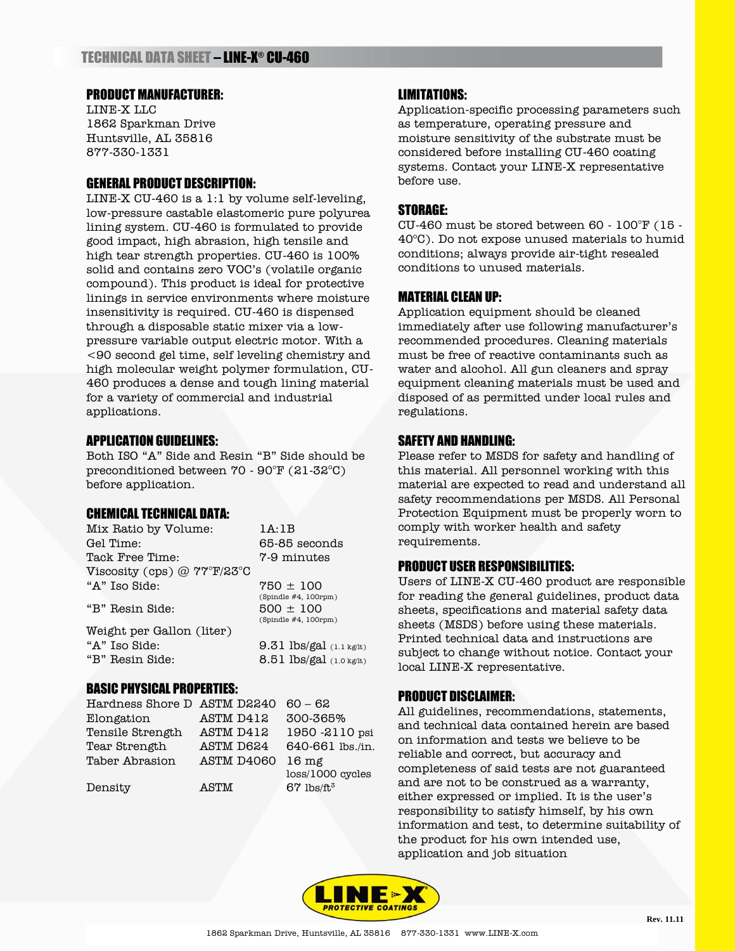# PRODUCT MANUFACTURER:

LINE-X LLC 1862 Sparkman Drive Huntsville, AL 35816 877-330-1331

### GENERAL PRODUCT DESCRIPTION:

LINE-X CU-460 is a 1:1 by volume self-leveling, low-pressure castable elastomeric pure polyurea lining system. CU-460 is formulated to provide good impact, high abrasion, high tensile and high tear strength properties. CU-460 is 100% solid and contains zero VOC's (volatile organic compound). This product is ideal for protective linings in service environments where moisture insensitivity is required. CU-460 is dispensed through a disposable static mixer via a lowpressure variable output electric motor. With a <90 second gel time, self leveling chemistry and high molecular weight polymer formulation, CU-460 produces a dense and tough lining material for a variety of commercial and industrial applications.

## APPLICATION GUIDELINES:

Both ISO "A" Side and Resin "B" Side should be preconditioned between  $70 - 90^{\circ}$  F (21-32 $^{\circ}$ C) before application.

### CHEMICAL TECHNICAL DATA:

| Mix Ratio by Volume:          | 1A:1B                    |
|-------------------------------|--------------------------|
| Gel Time:                     | 65-85 seconds            |
| Tack Free Time:               | 7-9 minutes              |
| Viscosity (cps) $@$ ??°F/23°C |                          |
| "A" Iso Side:                 | $750 \pm 100$            |
|                               | (Spindie #4, 100rpm)     |
| "B" Resin Side:               | $500 \pm 100$            |
|                               | (Spindie #4, 100rpm)     |
| Weight per Gallon (liter)     |                          |
| "A" Iso Side:                 | 9.31 lbs/gal (1.1 kg/lt) |
| "B" Resin Side:               | 8.51 lbs/gal (1.0 kg/lt) |
|                               |                          |

#### BASIC PHYSICAL PROPERTIES:

| Hardness Shore D ASTM D2240 |            | $60 - 62$                |
|-----------------------------|------------|--------------------------|
| Elongation                  | ASTM D412  | 300-365%                 |
| Tensile Strength            | ASTM D412  | 1950 -2110 psi           |
| Tear Strength               | ASTM D624  | 640-661 lbs./in.         |
| Taber Abrasion              | ASTM D4060 | 16 mg                    |
|                             |            | loss/1000 cycles         |
| Density                     | ASTM       | $67$ lbs/ft <sup>3</sup> |
|                             |            |                          |

### LIMITATIONS:

Application-specific processing parameters such as temperature, operating pressure and moisture sensitivity of the substrate must be considered before installing CU-460 coating systems. Contact your LINE-X representative before use.

#### STORAGE:

CU-460 must be stored between 60 - 100°F (15 -  $40^{\circ}$ C). Do not expose unused materials to humid conditions; always provide air-tight resealed conditions to unused materials.

#### MATERIAL CLEAN UP:

Application equipment should be cleaned immediately after use following manufacturer's recommended procedures. Cleaning materials must be free of reactive contaminants such as water and alcohol. All gun cleaners and spray equipment cleaning materials must be used and disposed of as permitted under local rules and regulations.

#### SAFETY AND HANDLING:

Please refer to MSDS for safety and handling of this material. All personnel working with this material are expected to read and understand all safety recommendations per MSDS. All Personal Protection Equipment must be properly worn to comply with worker health and safety requirements.

#### PRODUCT USER RESPONSIBILITIES:

Users of LINE-X CU-460 product are responsible for reading the general guidelines, product data sheets, specifications and material safety data sheets (MSDS) before using these materials. Printed technical data and instructions are subject to change without notice. Contact your local LINE-X representative.

### PRODUCT DISCLAIMER:

All guidelines, recommendations, statements, and technical data contained herein are based on information and tests we believe to be reliable and correct, but accuracy and completeness of said tests are not guaranteed and are not to be construed as a warranty, either expressed or implied. It is the user's responsibility to satisfy himself, by his own information and test, to determine suitability of the product for his own intended use, application and job situation